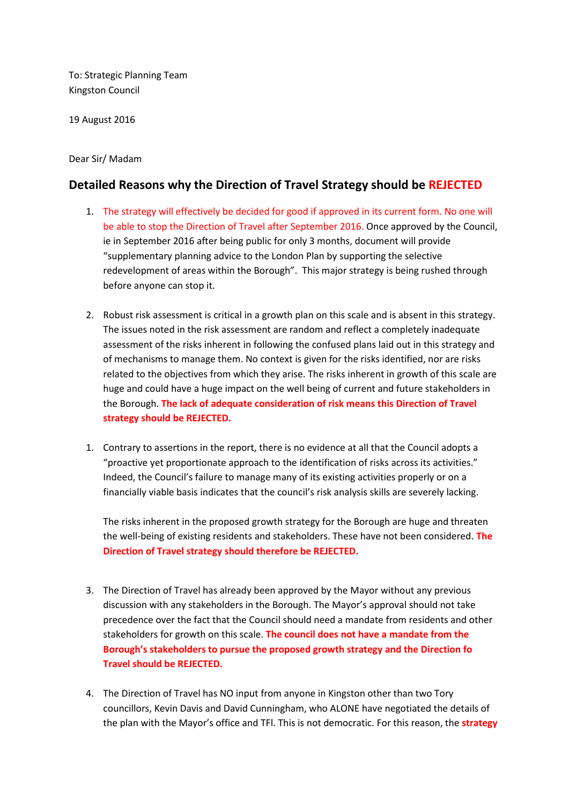To: Strategic Planning Team Kingston Council

19 August 2016

## Dear Sir/ Madam

## **Detailed Reasons why the Direction of Travel Strategy should be REJECTED**

- 1. The strategy will effectively be decided for good if approved in its current form. No one will be able to stop the Direction of Travel after September 2016. Once approved by the Council, ie in September 2016 after being public for only 3 months, document will provide "supplementary planning advice to the London Plan by supporting the selective redevelopment of areas within the Borough". This major strategy is being rushed through before anyone can stop it.
- 2. Robust risk assessment is critical in a growth plan on this scale and is absent in this strategy. The issues noted in the risk assessment are random and reflect a completely inadequate assessment of the risks inherent in following the confused plans laid out in this strategy and of mechanisms to manage them. No context is given for the risks identified, nor are risks related to the objectives from which they arise. The risks inherent in growth of this scale are huge and could have a huge impact on the well being of current and future stakeholders in the Borough. **The lack of adequate consideration of risk means this Direction of Travel strategy should be REJECTED.**
- 1. Contrary to assertions in the report, there is no evidence at all that the Council adopts a "proactive yet proportionate approach to the identification of risks across its activities." Indeed, the Council's failure to manage many of its existing activities properly or on a financially viable basis indicates that the council's risk analysis skills are severely lacking.

The risks inherent in the proposed growth strategy for the Borough are huge and threaten the well-being of existing residents and stakeholders. These have not been considered. **The Direction of Travel strategy should therefore be REJECTED.**

- 3. The Direction of Travel has already been approved by the Mayor without any previous discussion with any stakeholders in the Borough. The Mayor's approval should not take precedence over the fact that the Council should need a mandate from residents and other stakeholders for growth on this scale. **The council does not have a mandate from the Borough's stakeholders to pursue the proposed growth strategy and the Direction fo Travel should be REJECTED.**
- 4. The Direction of Travel has NO input from anyone in Kingston other than two Tory councillors, Kevin Davis and David Cunningham, who ALONE have negotiated the details of the plan with the Mayor's office and TFl. This is not democratic. For this reason, the **strategy**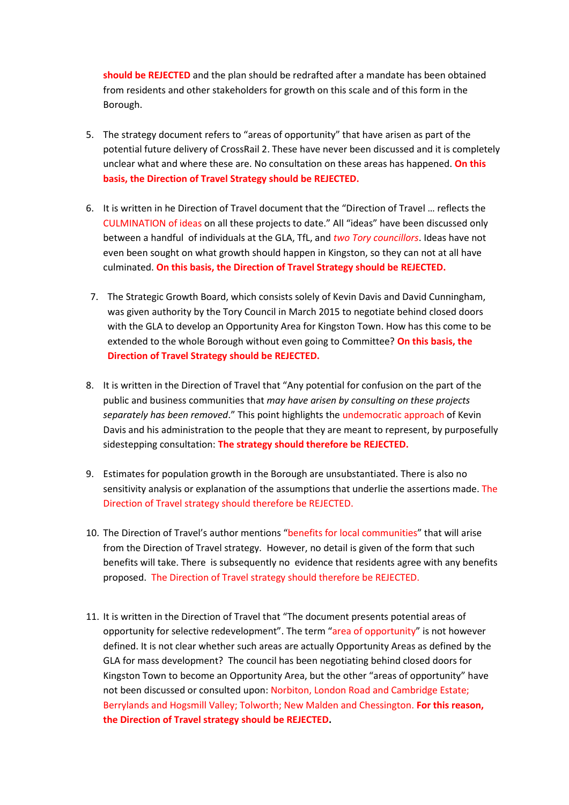**should be REJECTED** and the plan should be redrafted after a mandate has been obtained from residents and other stakeholders for growth on this scale and of this form in the Borough.

- 5. The strategy document refers to "areas of opportunity" that have arisen as part of the potential future delivery of CrossRail 2. These have never been discussed and it is completely unclear what and where these are. No consultation on these areas has happened. **On this basis, the Direction of Travel Strategy should be REJECTED.**
- 6. It is written in he Direction of Travel document that the "Direction of Travel … reflects the CULMINATION of ideas on all these projects to date." All "ideas" have been discussed only between a handful of individuals at the GLA, TfL, and *two Tory councillors*. Ideas have not even been sought on what growth should happen in Kingston, so they can not at all have culminated. **On this basis, the Direction of Travel Strategy should be REJECTED.**
- 7. The Strategic Growth Board, which consists solely of Kevin Davis and David Cunningham, was given authority by the Tory Council in March 2015 to negotiate behind closed doors with the GLA to develop an Opportunity Area for Kingston Town. How has this come to be extended to the whole Borough without even going to Committee? **On this basis, the Direction of Travel Strategy should be REJECTED.**
- 8. It is written in the Direction of Travel that "Any potential for confusion on the part of the public and business communities that *may have arisen by consulting on these projects separately has been removed*." This point highlights the undemocratic approach of Kevin Davis and his administration to the people that they are meant to represent, by purposefully sidestepping consultation: **The strategy should therefore be REJECTED.**
- 9. Estimates for population growth in the Borough are unsubstantiated. There is also no sensitivity analysis or explanation of the assumptions that underlie the assertions made. The Direction of Travel strategy should therefore be REJECTED.
- 10. The Direction of Travel's author mentions "benefits for local communities" that will arise from the Direction of Travel strategy. However, no detail is given of the form that such benefits will take. There is subsequently no evidence that residents agree with any benefits proposed. The Direction of Travel strategy should therefore be REJECTED.
- 11. It is written in the Direction of Travel that "The document presents potential areas of opportunity for selective redevelopment". The term "area of opportunity" is not however defined. It is not clear whether such areas are actually Opportunity Areas as defined by the GLA for mass development? The council has been negotiating behind closed doors for Kingston Town to become an Opportunity Area, but the other "areas of opportunity" have not been discussed or consulted upon: Norbiton, London Road and Cambridge Estate; Berrylands and Hogsmill Valley; Tolworth; New Malden and Chessington. **For this reason, the Direction of Travel strategy should be REJECTED.**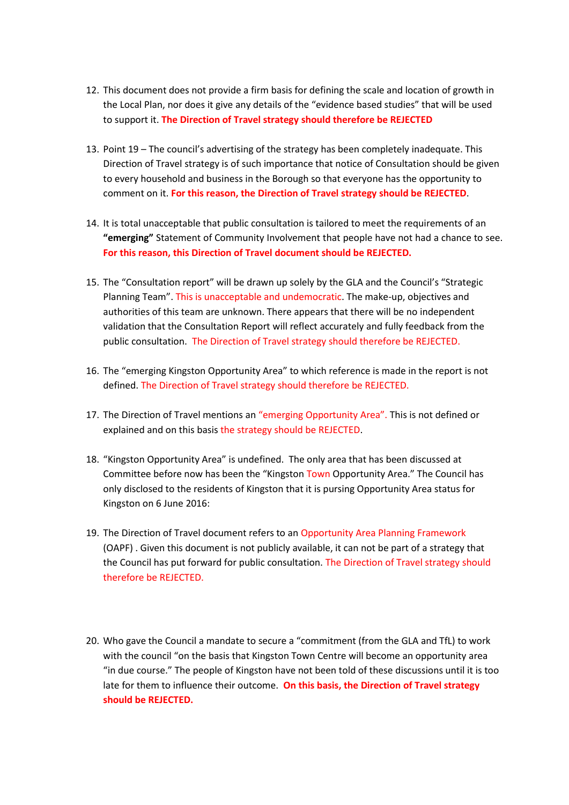- 12. This document does not provide a firm basis for defining the scale and location of growth in the Local Plan, nor does it give any details of the "evidence based studies" that will be used to support it. **The Direction of Travel strategy should therefore be REJECTED**
- 13. Point 19 The council's advertising of the strategy has been completely inadequate. This Direction of Travel strategy is of such importance that notice of Consultation should be given to every household and business in the Borough so that everyone has the opportunity to comment on it. **For this reason, the Direction of Travel strategy should be REJECTED**.
- 14. It is total unacceptable that public consultation is tailored to meet the requirements of an **"emerging"** Statement of Community Involvement that people have not had a chance to see. **For this reason, this Direction of Travel document should be REJECTED.**
- 15. The "Consultation report" will be drawn up solely by the GLA and the Council's "Strategic Planning Team". This is unacceptable and undemocratic. The make-up, objectives and authorities of this team are unknown. There appears that there will be no independent validation that the Consultation Report will reflect accurately and fully feedback from the public consultation. The Direction of Travel strategy should therefore be REJECTED.
- 16. The "emerging Kingston Opportunity Area" to which reference is made in the report is not defined. The Direction of Travel strategy should therefore be REJECTED.
- 17. The Direction of Travel mentions an "emerging Opportunity Area". This is not defined or explained and on this basis the strategy should be REJECTED.
- 18. "Kingston Opportunity Area" is undefined. The only area that has been discussed at Committee before now has been the "Kingston Town Opportunity Area." The Council has only disclosed to the residents of Kingston that it is pursing Opportunity Area status for Kingston on 6 June 2016:
- 19. The Direction of Travel document refers to an Opportunity Area Planning Framework (OAPF) . Given this document is not publicly available, it can not be part of a strategy that the Council has put forward for public consultation. The Direction of Travel strategy should therefore be REJECTED.
- 20. Who gave the Council a mandate to secure a "commitment (from the GLA and TfL) to work with the council "on the basis that Kingston Town Centre will become an opportunity area "in due course." The people of Kingston have not been told of these discussions until it is too late for them to influence their outcome. **On this basis, the Direction of Travel strategy should be REJECTED.**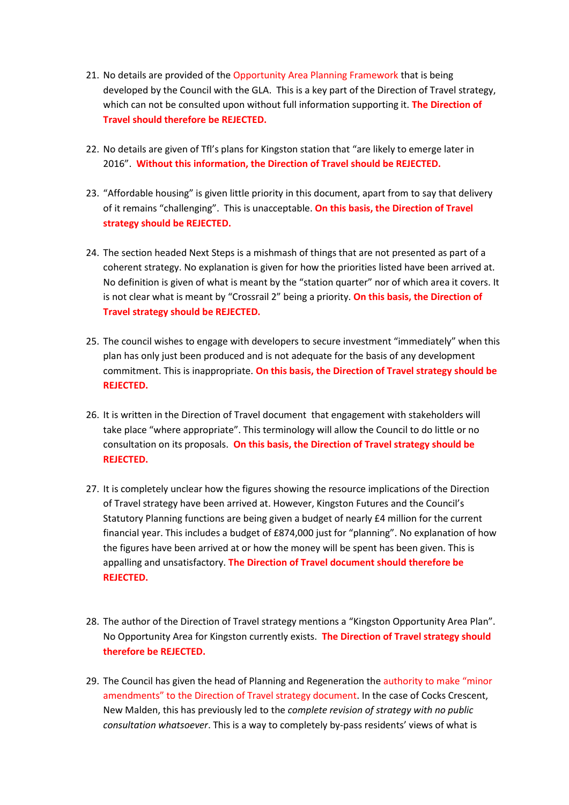- 21. No details are provided of the Opportunity Area Planning Framework that is being developed by the Council with the GLA. This is a key part of the Direction of Travel strategy, which can not be consulted upon without full information supporting it. **The Direction of Travel should therefore be REJECTED.**
- 22. No details are given of Tfl's plans for Kingston station that "are likely to emerge later in 2016". **Without this information, the Direction of Travel should be REJECTED.**
- 23. "Affordable housing" is given little priority in this document, apart from to say that delivery of it remains "challenging". This is unacceptable. **On this basis, the Direction of Travel strategy should be REJECTED.**
- 24. The section headed Next Steps is a mishmash of things that are not presented as part of a coherent strategy. No explanation is given for how the priorities listed have been arrived at. No definition is given of what is meant by the "station quarter" nor of which area it covers. It is not clear what is meant by "Crossrail 2" being a priority. **On this basis, the Direction of Travel strategy should be REJECTED.**
- 25. The council wishes to engage with developers to secure investment "immediately" when this plan has only just been produced and is not adequate for the basis of any development commitment. This is inappropriate. **On this basis, the Direction of Travel strategy should be REJECTED.**
- 26. It is written in the Direction of Travel document that engagement with stakeholders will take place "where appropriate". This terminology will allow the Council to do little or no consultation on its proposals. **On this basis, the Direction of Travel strategy should be REJECTED.**
- 27. It is completely unclear how the figures showing the resource implications of the Direction of Travel strategy have been arrived at. However, Kingston Futures and the Council's Statutory Planning functions are being given a budget of nearly £4 million for the current financial year. This includes a budget of £874,000 just for "planning". No explanation of how the figures have been arrived at or how the money will be spent has been given. This is appalling and unsatisfactory. **The Direction of Travel document should therefore be REJECTED.**
- 28. The author of the Direction of Travel strategy mentions a "Kingston Opportunity Area Plan". No Opportunity Area for Kingston currently exists. **The Direction of Travel strategy should therefore be REJECTED.**
- 29. The Council has given the head of Planning and Regeneration the authority to make "minor amendments" to the Direction of Travel strategy document. In the case of Cocks Crescent, New Malden, this has previously led to the *complete revision of strategy with no public consultation whatsoever*. This is a way to completely by-pass residents' views of what is